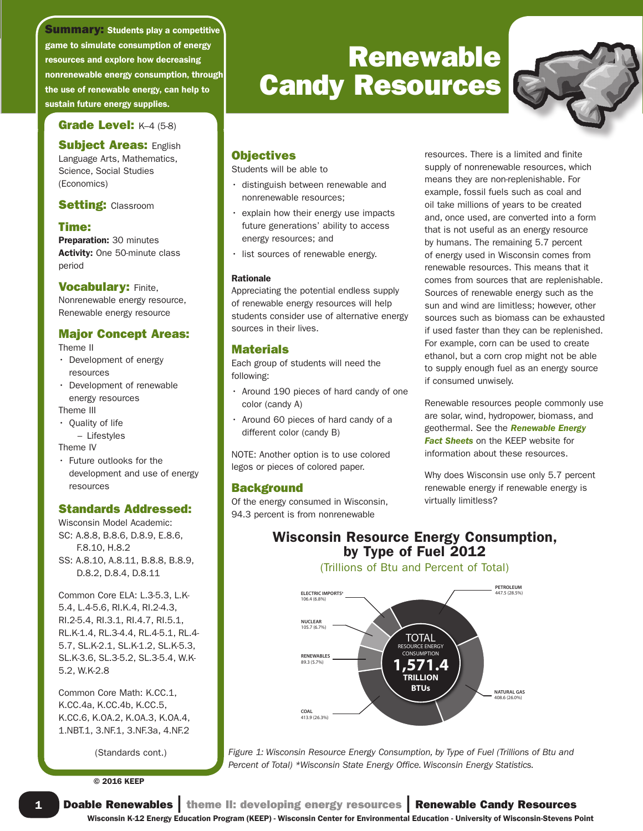resources and explore how decreasing nonrenewable energy consumption, through the use of renewable energy, can help to sustain future energy supplies. **Summary: Students play a competitive** game to simulate consumption of energy

## Grade Level: K–4 (5-8)

**Subject Areas: English** Language Arts, Mathematics, Science, Social Studies (Economics)

#### **Setting: Classroom**

#### Time:

Preparation: 30 minutes Activity: One 50-minute class period

**Vocabulary: Finite,** Nonrenewable energy resource, Renewable energy resource

## Major Concept Areas:

Theme II

- Development of energy resources
- Development of renewable energy resources

Theme III

- Quality of life – Lifestyles Theme IV
- Future outlooks for the
- development and use of energy resources

## Standards Addressed:

Wisconsin Model Academic: SC: A.8.8, B.8.6, D.8.9, E.8.6, F.8.10, H.8.2 SS: A.8.10, A.8.11, B.8.8, B.8.9, D.8.2, D.8.4, D.8.11

Common Core ELA: L.3-5.3, L.K-5.4, L.4-5.6, RI.K.4, RI.2-4.3, RI.2-5.4, RI.3.1, RI.4.7, RI.5.1, RL.K-1.4, RL.3-4.4, RL.4-5.1, RL.4- 5.7, SL.K-2.1, SL.K-1.2, SL.K-5.3, SL.K-3.6, SL.3-5.2, SL.3-5.4, W.K-5.2, W.K-2.8

Common Core Math: K.CC.1, K.CC.4a, K.CC.4b, K.CC.5, K.CC.6, K.OA.2, K.OA.3, K.OA.4, 1.NBT.1, 3.NF.1, 3.NF.3a, 4.NF.2

(Standards cont.)

© 2016 KEEP

1

# Renewable Candy Resources



#### **Objectives**

Students will be able to

- distinguish between renewable and nonrenewable resources;
- explain how their energy use impacts future generations' ability to access energy resources; and
- list sources of renewable energy.

#### Rationale

Appreciating the potential endless supply of renewable energy resources will help students consider use of alternative energy sources in their lives.

#### Materials

Each group of students will need the following:

- Around 190 pieces of hard candy of one color (candy A)
- Around 60 pieces of hard candy of a different color (candy B)

NOTE: Another option is to use colored legos or pieces of colored paper.

## **Background**

Of the energy consumed in Wisconsin, 94.3 percent is from nonrenewable

resources. There is a limited and finite supply of nonrenewable resources, which means they are non-replenishable. For example, fossil fuels such as coal and oil take millions of years to be created and, once used, are converted into a form that is not useful as an energy resource by humans. The remaining 5.7 percent of energy used in Wisconsin comes from renewable resources. This means that it comes from sources that are replenishable. Sources of renewable energy such as the sun and wind are limitless; however, other sources such as biomass can be exhausted if used faster than they can be replenished. For example, corn can be used to create ethanol, but a corn crop might not be able to supply enough fuel as an energy source if consumed unwisely.

Renewable resources people commonly use are solar, wind, hydropower, biomass, and geothermal. See the *Renewable Energy Fact Sheets* on the KEEP website for information about these resources.

Why does Wisconsin use only 5.7 percent renewable energy if renewable energy is virtually limitless?

## Wisconsin Resource Energy Consumption, by Type of Fuel 2012

(Trillions of Btu and Percent of Total)



*Figure 1: Wisconsin Resource Energy Consumption, by Type of Fuel (Trillions of Btu and Percent of Total) \*Wisconsin State Energy Office. Wisconsin Energy Statistics.*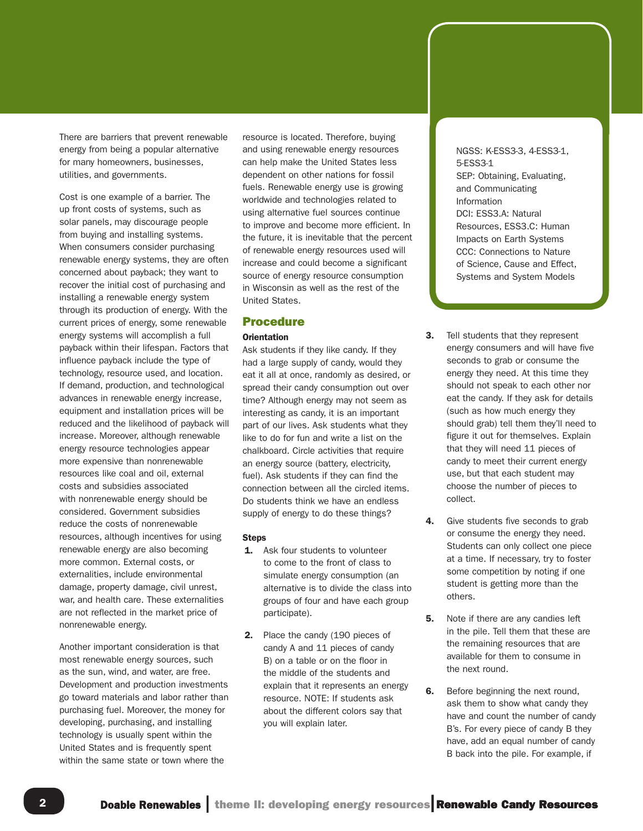There are barriers that prevent renewable energy from being a popular alternative for many homeowners, businesses, utilities, and governments.

Cost is one example of a barrier. The up front costs of systems, such as solar panels, may discourage people from buying and installing systems. When consumers consider purchasing renewable energy systems, they are often concerned about payback; they want to recover the initial cost of purchasing and installing a renewable energy system through its production of energy. With the current prices of energy, some renewable energy systems will accomplish a full payback within their lifespan. Factors that influence payback include the type of technology, resource used, and location. If demand, production, and technological advances in renewable energy increase, equipment and installation prices will be reduced and the likelihood of payback will increase. Moreover, although renewable energy resource technologies appear more expensive than nonrenewable resources like coal and oil, external costs and subsidies associated with nonrenewable energy should be considered. Government subsidies reduce the costs of nonrenewable resources, although incentives for using renewable energy are also becoming more common. External costs, or externalities, include environmental damage, property damage, civil unrest, war, and health care. These externalities are not reflected in the market price of nonrenewable energy.

Another important consideration is that most renewable energy sources, such as the sun, wind, and water, are free. Development and production investments go toward materials and labor rather than purchasing fuel. Moreover, the money for developing, purchasing, and installing technology is usually spent within the United States and is frequently spent within the same state or town where the

resource is located. Therefore, buying and using renewable energy resources can help make the United States less dependent on other nations for fossil fuels. Renewable energy use is growing worldwide and technologies related to using alternative fuel sources continue to improve and become more efficient. In the future, it is inevitable that the percent of renewable energy resources used will increase and could become a significant source of energy resource consumption in Wisconsin as well as the rest of the United States.

#### Procedure

#### **Orientation**

Ask students if they like candy. If they had a large supply of candy, would they eat it all at once, randomly as desired, or spread their candy consumption out over time? Although energy may not seem as interesting as candy, it is an important part of our lives. Ask students what they like to do for fun and write a list on the chalkboard. Circle activities that require an energy source (battery, electricity, fuel). Ask students if they can find the connection between all the circled items. Do students think we have an endless supply of energy to do these things?

#### **Steps**

- **1.** Ask four students to volunteer to come to the front of class to simulate energy consumption (an alternative is to divide the class into groups of four and have each group participate).
- 2. Place the candy (190 pieces of candy A and 11 pieces of candy B) on a table or on the floor in the middle of the students and explain that it represents an energy resource. NOTE: If students ask about the different colors say that you will explain later.

NGSS: K-ESS3-3, 4-ESS3-1, 5-ESS3-1 SEP: Obtaining, Evaluating, and Communicating Information DCI: ESS3.A: Natural Resources, ESS3.C: Human Impacts on Earth Systems CCC: Connections to Nature of Science, Cause and Effect, Systems and System Models

- **3.** Tell students that they represent energy consumers and will have five seconds to grab or consume the energy they need. At this time they should not speak to each other nor eat the candy. If they ask for details (such as how much energy they should grab) tell them they'll need to figure it out for themselves. Explain that they will need 11 pieces of candy to meet their current energy use, but that each student may choose the number of pieces to collect.
- 4. Give students five seconds to grab or consume the energy they need. Students can only collect one piece at a time. If necessary, try to foster some competition by noting if one student is getting more than the others.
- **5.** Note if there are any candies left in the pile. Tell them that these are the remaining resources that are available for them to consume in the next round.
- **6.** Before beginning the next round, ask them to show what candy they have and count the number of candy B's. For every piece of candy B they have, add an equal number of candy B back into the pile. For example, if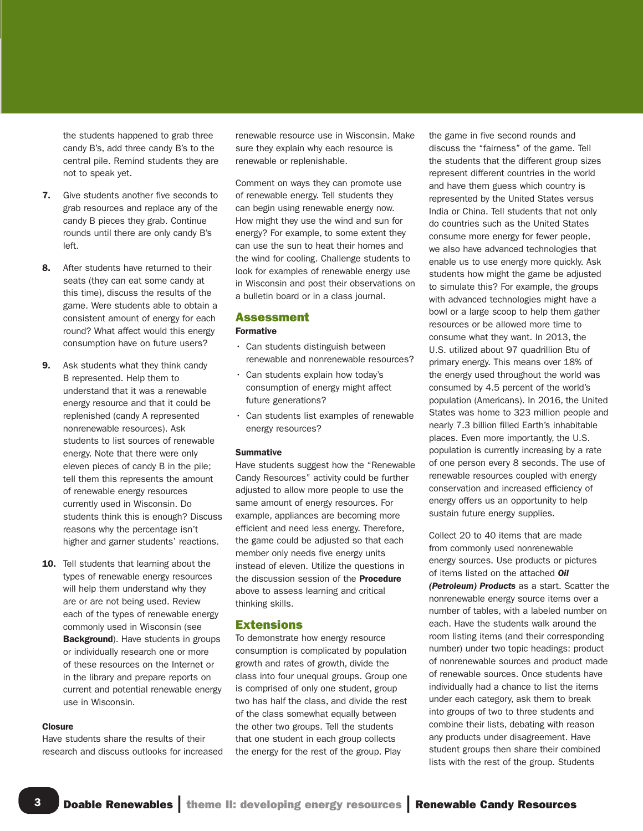the students happened to grab three candy B's, add three candy B's to the central pile. Remind students they are not to speak yet.

- 7. Give students another five seconds to grab resources and replace any of the candy B pieces they grab. Continue rounds until there are only candy B's left.
- 8. After students have returned to their seats (they can eat some candy at this time), discuss the results of the game. Were students able to obtain a consistent amount of energy for each round? What affect would this energy consumption have on future users?
- **9.** Ask students what they think candy B represented. Help them to understand that it was a renewable energy resource and that it could be replenished (candy A represented nonrenewable resources). Ask students to list sources of renewable energy. Note that there were only eleven pieces of candy B in the pile; tell them this represents the amount of renewable energy resources currently used in Wisconsin. Do students think this is enough? Discuss reasons why the percentage isn't higher and garner students' reactions.
- 10. Tell students that learning about the types of renewable energy resources will help them understand why they are or are not being used. Review each of the types of renewable energy commonly used in Wisconsin (see Background). Have students in groups or individually research one or more of these resources on the Internet or in the library and prepare reports on current and potential renewable energy use in Wisconsin.

#### Closure

3

Have students share the results of their research and discuss outlooks for increased renewable resource use in Wisconsin. Make sure they explain why each resource is renewable or replenishable.

Comment on ways they can promote use of renewable energy. Tell students they can begin using renewable energy now. How might they use the wind and sun for energy? For example, to some extent they can use the sun to heat their homes and the wind for cooling. Challenge students to look for examples of renewable energy use in Wisconsin and post their observations on a bulletin board or in a class journal.

#### Assessment

#### Formative

- Can students distinguish between renewable and nonrenewable resources?
- Can students explain how today's consumption of energy might affect future generations?
- Can students list examples of renewable energy resources?

#### **Summative**

Have students suggest how the "Renewable Candy Resources" activity could be further adjusted to allow more people to use the same amount of energy resources. For example, appliances are becoming more efficient and need less energy. Therefore, the game could be adjusted so that each member only needs five energy units instead of eleven. Utilize the questions in the discussion session of the **Procedure** above to assess learning and critical thinking skills.

#### Extensions

To demonstrate how energy resource consumption is complicated by population growth and rates of growth, divide the class into four unequal groups. Group one is comprised of only one student, group two has half the class, and divide the rest of the class somewhat equally between the other two groups. Tell the students that one student in each group collects the energy for the rest of the group. Play

the game in five second rounds and discuss the "fairness" of the game. Tell the students that the different group sizes represent different countries in the world and have them guess which country is represented by the United States versus India or China. Tell students that not only do countries such as the United States consume more energy for fewer people, we also have advanced technologies that enable us to use energy more quickly. Ask students how might the game be adjusted to simulate this? For example, the groups with advanced technologies might have a bowl or a large scoop to help them gather resources or be allowed more time to consume what they want. In 2013, the U.S. utilized about 97 quadrillion Btu of primary energy. This means over 18% of the energy used throughout the world was consumed by 4.5 percent of the world's population (Americans). In 2016, the United States was home to 323 million people and nearly 7.3 billion filled Earth's inhabitable places. Even more importantly, the U.S. population is currently increasing by a rate of one person every 8 seconds. The use of renewable resources coupled with energy conservation and increased efficiency of energy offers us an opportunity to help sustain future energy supplies.

Collect 20 to 40 items that are made from commonly used nonrenewable energy sources. Use products or pictures of items listed on the attached *Oil (Petroleum) Products* as a start. Scatter the nonrenewable energy source items over a number of tables, with a labeled number on each. Have the students walk around the room listing items (and their corresponding number) under two topic headings: product of nonrenewable sources and product made of renewable sources. Once students have individually had a chance to list the items under each category, ask them to break into groups of two to three students and combine their lists, debating with reason any products under disagreement. Have student groups then share their combined lists with the rest of the group. Students